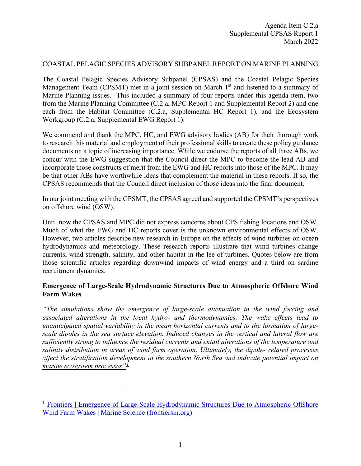## COASTAL PELAGIC SPECIES ADVISORY SUBPANEL REPORT ON MARINE PLANNING

The Coastal Pelagic Species Advisory Subpanel (CPSAS) and the Coastal Pelagic Species Management Team (CPSMT) met in a joint session on March  $1<sup>st</sup>$  and listened to a summary of Marine Planning issues. This included a summary of four reports under this agenda item, two from the Marine Planning Committee (C.2.a, MPC Report 1 and Supplemental Report 2) and one each from the Habitat Committee (C.2.a, Supplemental HC Report 1), and the Ecosystem Workgroup (C.2.a, Supplemental EWG Report 1).

We commend and thank the MPC, HC, and EWG advisory bodies (AB) for their thorough work to research this material and employment of their professional skills to create these policy guidance documents on a topic of increasing importance. While we endorse the reports of all three ABs, we concur with the EWG suggestion that the Council direct the MPC to become the lead AB and incorporate those constructs of merit from the EWG and HC reports into those of the MPC. It may be that other ABs have worthwhile ideas that complement the material in these reports. If so, the CPSAS recommends that the Council direct inclusion of those ideas into the final document.

In our joint meeting with the CPSMT, the CPSAS agreed and supported the CPSMT's perspectives on offshore wind (OSW).

Until now the CPSAS and MPC did not express concerns about CPS fishing locations and OSW. Much of what the EWG and HC reports cover is the unknown environmental effects of OSW. However, two articles describe new research in Europe on the effects of wind turbines on ocean hydrodynamics and meteorology. These research reports illustrate that wind turbines change currents, wind strength, salinity, and other habitat in the lee of turbines. Quotes below are from those scientific articles regarding downwind impacts of wind energy and a third on sardine recruitment dynamics.

## **Emergence of Large-Scale Hydrodynamic Structures Due to Atmospheric Offshore Wind Farm Wakes**

*"The simulations show the emergence of large-scale attenuation in the wind forcing and associated alterations in the local hydro- and thermodynamics. The wake effects lead to unanticipated spatial variability in the mean horizontal currents and to the formation of largescale dipoles in the sea surface elevation. Induced changes in the vertical and lateral flow are sufficiently strong to influence the residual currents and entail alterations of the temperature and salinity distribution in areas of wind farm operation. Ultimately, the dipole- related processes affect the stratification development in the southern North Sea and indicate potential impact on marine ecosystem processes"[1](#page-0-0)*

<span id="page-0-0"></span><sup>&</sup>lt;sup>1</sup> Frontiers | Emergence of Large-Scale Hydrodynamic Structures Due to Atmospheric Offshore [Wind Farm Wakes | Marine Science \(frontiersin.org\)](https://www.frontiersin.org/articles/10.3389/fmars.2022.818501/full)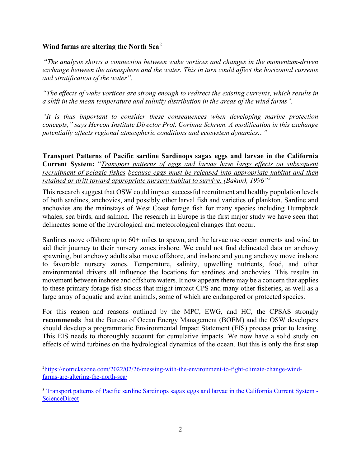## **[Wind farms are altering the North Sea](https://www.hereon.de/)**[2](#page-1-0)

"*The analysis shows a connection between wake vortices and changes in the momentum-driven exchange between the atmosphere and the water. This in turn could affect the horizontal currents and stratification of the water".*

*"The effects of wake vortices are strong enough to redirect the existing currents, which results in a shift in the mean temperature and salinity distribution in the areas of the wind farms".*

*"It is thus important to consider these consequences when developing marine protection concepts," says Hereon Institute Director Prof. Corinna Schrum. A modification in this exchange potentially affects regional atmospheric conditions and ecosystem dynamics..."*

**Transport Patterns of Pacific sardine Sardinops sagax eggs and larvae in the California Current System:** "*Transport patterns of eggs and larvae have large effects on subsequent recruitment of pelagic fishes because eggs must be released into appropriate habitat and then retained or drift toward appropriate nursery habitat to survive. (Bakun), 1996"[3](#page-1-1)*

This research suggest that OSW could impact successful recruitment and healthy population levels of both sardines, anchovies, and possibly other larval fish and varieties of plankton. Sardine and anchovies are the mainstays of West Coast forage fish for many species including Humpback whales, sea birds, and salmon. The research in Europe is the first major study we have seen that delineates some of the hydrological and meteorological changes that occur.

Sardines move offshore up to  $60+$  miles to spawn, and the larvae use ocean currents and wind to aid their journey to their nursery zones inshore. We could not find delineated data on anchovy spawning, but anchovy adults also move offshore, and inshore and young anchovy move inshore to favorable nursery zones. Temperature, salinity, upwelling nutrients, food, and other environmental drivers all influence the locations for sardines and anchovies. This results in movement between inshore and offshore waters. It now appears there may be a concern that applies to these primary forage fish stocks that might impact CPS and many other fisheries, as well as a large array of aquatic and avian animals, some of which are endangered or protected species.

For this reason and reasons outlined by the MPC, EWG, and HC, the CPSAS strongly **recommends** that the Bureau of Ocean Energy Management (BOEM) and the OSW developers should develop a programmatic Environmental Impact Statement (EIS) process prior to leasing. This EIS needs to thoroughly account for cumulative impacts. We now have a solid study on effects of wind turbines on the hydrological dynamics of the ocean. But this is only the first step

<span id="page-1-0"></span><sup>&</sup>lt;sup>2</sup>[https://notrickszone.com/2022/02/26/messing-with-the-environment-to-fight-climate-change-wind](https://notrickszone.com/2022/02/26/messing-with-the-environment-to-fight-climate-change-wind-farms-are-altering-the-north-sea/)[farms-are-altering-the-north-sea/](https://notrickszone.com/2022/02/26/messing-with-the-environment-to-fight-climate-change-wind-farms-are-altering-the-north-sea/)

<span id="page-1-1"></span><sup>&</sup>lt;sup>3</sup> [Transport patterns of Pacific sardine Sardinops sagax eggs and larvae in the California Current System -](https://www.sciencedirect.com/science/article/pii/S0967063715000539) [ScienceDirect](https://www.sciencedirect.com/science/article/pii/S0967063715000539)